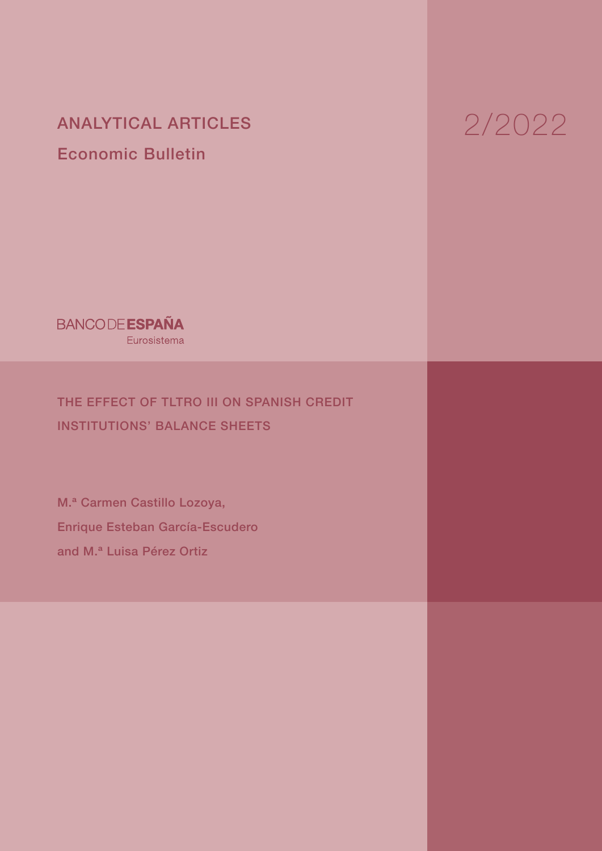ANALYTICAL ARTICLES Economic Bulletin

2/2022

**BANCODE ESPAÑA** Eurosistema

THE EFFECT OF TLTRO III ON SPANISH CREDIT INSTITUTIONS' BALANCE SHEETS

M.ª Carmen Castillo Lozoya, Enrique Esteban García-Escudero and M.ª Luisa Pérez Ortiz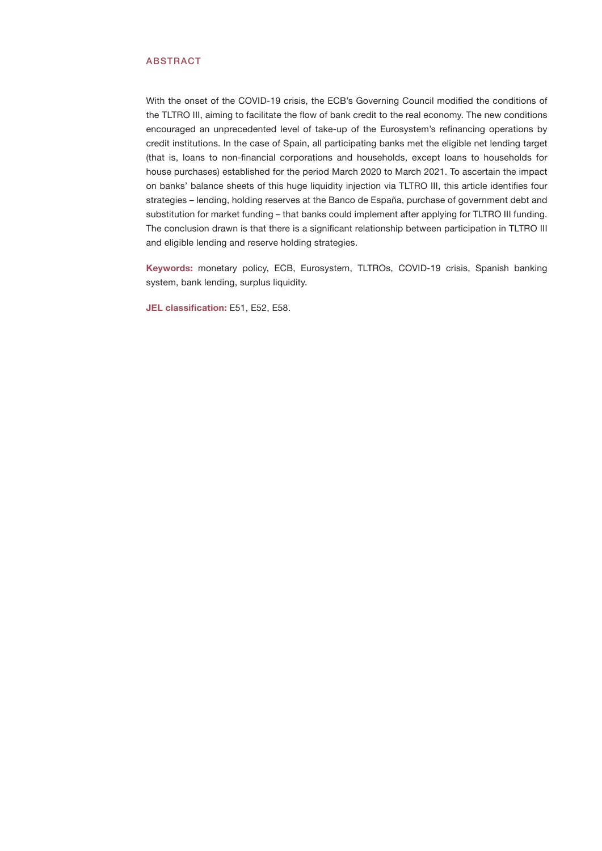#### ABSTRACT

With the onset of the COVID-19 crisis, the ECB's Governing Council modified the conditions of the TLTRO III, aiming to facilitate the flow of bank credit to the real economy. The new conditions encouraged an unprecedented level of take-up of the Eurosystem's refinancing operations by credit institutions. In the case of Spain, all participating banks met the eligible net lending target (that is, loans to non-financial corporations and households, except loans to households for house purchases) established for the period March 2020 to March 2021. To ascertain the impact on banks' balance sheets of this huge liquidity injection via TLTRO III, this article identifies four strategies – lending, holding reserves at the Banco de España, purchase of government debt and substitution for market funding – that banks could implement after applying for TLTRO III funding. The conclusion drawn is that there is a significant relationship between participation in TLTRO III and eligible lending and reserve holding strategies.

Keywords: monetary policy, ECB, Eurosystem, TLTROs, COVID-19 crisis, Spanish banking system, bank lending, surplus liquidity.

JEL classification: E51, E52, E58.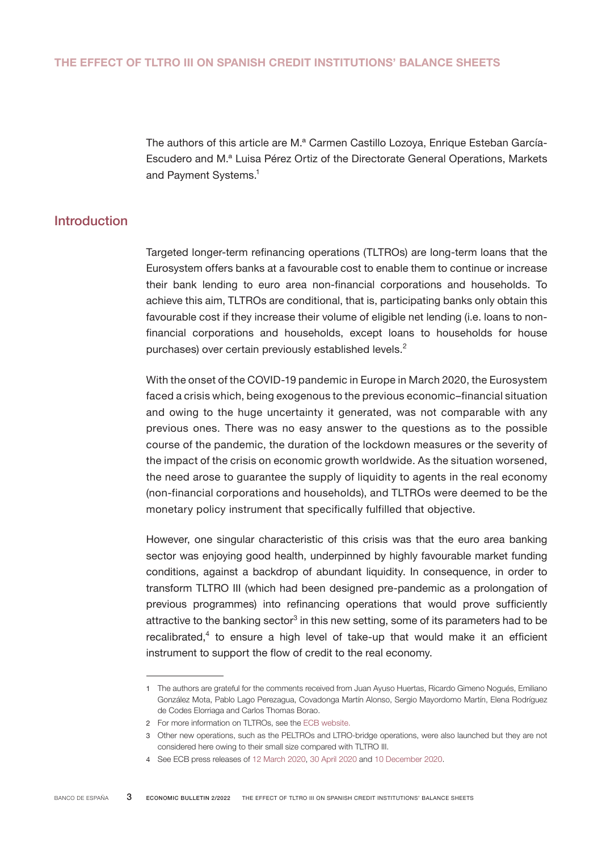The authors of this article are M.ª Carmen Castillo Lozoya, Enrique Esteban García-Escudero and M.ª Luisa Pérez Ortiz of the Directorate General Operations, Markets and Payment Systems.<sup>1</sup>

## Introduction

Targeted longer-term refinancing operations (TLTROs) are long-term loans that the Eurosystem offers banks at a favourable cost to enable them to continue or increase their bank lending to euro area non-financial corporations and households. To achieve this aim, TLTROs are conditional, that is, participating banks only obtain this favourable cost if they increase their volume of eligible net lending (i.e. loans to nonfinancial corporations and households, except loans to households for house purchases) over certain previously established levels.<sup>2</sup>

With the onset of the COVID-19 pandemic in Europe in March 2020, the Eurosystem faced a crisis which, being exogenous to the previous economic–financial situation and owing to the huge uncertainty it generated, was not comparable with any previous ones. There was no easy answer to the questions as to the possible course of the pandemic, the duration of the lockdown measures or the severity of the impact of the crisis on economic growth worldwide. As the situation worsened, the need arose to guarantee the supply of liquidity to agents in the real economy (non-financial corporations and households), and TLTROs were deemed to be the monetary policy instrument that specifically fulfilled that objective.

However, one singular characteristic of this crisis was that the euro area banking sector was enjoying good health, underpinned by highly favourable market funding conditions, against a backdrop of abundant liquidity. In consequence, in order to transform TLTRO III (which had been designed pre-pandemic as a prolongation of previous programmes) into refinancing operations that would prove sufficiently attractive to the banking sector<sup>3</sup> in this new setting, some of its parameters had to be recalibrated, $4$  to ensure a high level of take-up that would make it an efficient instrument to support the flow of credit to the real economy.

<sup>1</sup> The authors are grateful for the comments received from Juan Ayuso Huertas, Ricardo Gimeno Nogués, Emiliano González Mota, Pablo Lago Perezagua, Covadonga Martín Alonso, Sergio Mayordomo Martín, Elena Rodríguez de Codes Elorriaga and Carlos Thomas Borao.

<sup>2</sup> For more information on TLTROs, see the [ECB website.](https://www.ecb.europa.eu/ecb/educational/explainers/tell-me/html/tltro.en.html) 

<sup>3</sup> Other new operations, such as the PELTROs and LTRO-bridge operations, were also launched but they are not considered here owing to their small size compared with TLTRO III.

<sup>4</sup> See ECB press releases of [12 March 2020](https://www.ecb.europa.eu/press/pr/date/2020/html/ecb.pr200312_1~39db50b717.en.html), [30 April 2020](https://www.ecb.europa.eu/press/pr/date/2020/html/ecb.pr200430~fa46f38486.en.html) and [10 December 2020.](https://www.ecb.europa.eu/press/pr/date/2020/html/ecb.pr201210_1~e8e95af01c.en.html)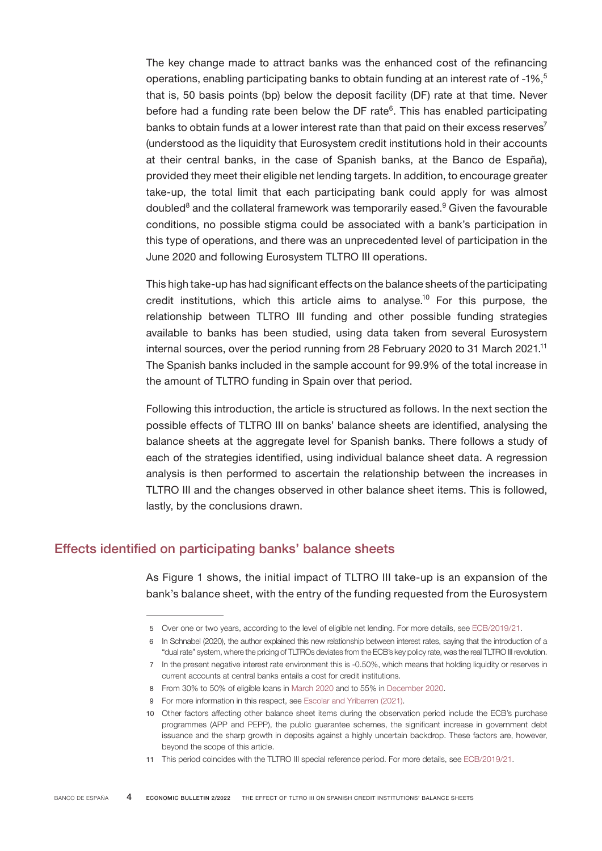The key change made to attract banks was the enhanced cost of the refinancing operations, enabling participating banks to obtain funding at an interest rate of -1%,<sup>5</sup> that is, 50 basis points (bp) below the deposit facility (DF) rate at that time. Never before had a funding rate been below the DF rate<sup>6</sup>. This has enabled participating banks to obtain funds at a lower interest rate than that paid on their excess reserves<sup>7</sup> (understood as the liquidity that Eurosystem credit institutions hold in their accounts at their central banks, in the case of Spanish banks, at the Banco de España), provided they meet their eligible net lending targets. In addition, to encourage greater take-up, the total limit that each participating bank could apply for was almost doubled<sup>8</sup> and the collateral framework was temporarily eased.<sup>9</sup> Given the favourable conditions, no possible stigma could be associated with a bank's participation in this type of operations, and there was an unprecedented level of participation in the June 2020 and following Eurosystem TLTRO III operations.

This high take-up has had significant effects on the balance sheets of the participating credit institutions, which this article aims to analyse.<sup>10</sup> For this purpose, the relationship between TLTRO III funding and other possible funding strategies available to banks has been studied, using data taken from several Eurosystem internal sources, over the period running from 28 February 2020 to 31 March 2021.<sup>11</sup> The Spanish banks included in the sample account for 99.9% of the total increase in the amount of TLTRO funding in Spain over that period.

Following this introduction, the article is structured as follows. In the next section the possible effects of TLTRO III on banks' balance sheets are identified, analysing the balance sheets at the aggregate level for Spanish banks. There follows a study of each of the strategies identified, using individual balance sheet data. A regression analysis is then performed to ascertain the relationship between the increases in TLTRO III and the changes observed in other balance sheet items. This is followed, lastly, by the conclusions drawn.

## Effects identified on participating banks' balance sheets

As Figure 1 shows, the initial impact of TLTRO III take-up is an expansion of the bank's balance sheet, with the entry of the funding requested from the Eurosystem

<sup>5</sup> Over one or two years, according to the level of eligible net lending. For more details, see [ECB/2019/21.](https://eur-lex.europa.eu/legal-content/EN/TXT/PDF/?uri=CELEX:02019D0021(01)-20210508&qid=1598879694432&from=EN)

<sup>6</sup> In Schnabel (2020), the author explained this new relationship between interest rates, saying that the introduction of a "dual rate" system, where the pricing of TLTROs deviates from the ECB's key policy rate, was the real TLTRO III revolution.

<sup>7</sup> In the present negative interest rate environment this is -0.50%, which means that holding liquidity or reserves in current accounts at central banks entails a cost for credit institutions.

<sup>8</sup> From 30% to 50% of eligible loans i[n March 2020](https://www.ecb.europa.eu/press/pr/date/2020/html/ecb.pr200312_1~39db50b717.en.html) and to 55% in [December 2020.](https://www.ecb.europa.eu/press/pr/date/2020/html/ecb.pr201210_1~e8e95af01c.en.html)

<sup>9</sup> For more information in this respect, see [Escolar and Yribarren \(2021\)](https://www.bde.es/f/webbde/SES/Secciones/Publicaciones/PublicacionesSeriadas/DocumentosOcasionales/21/Files/do2128e.pdf).

<sup>10</sup> Other factors affecting other balance sheet items during the observation period include the ECB's purchase programmes (APP and PEPP), the public guarantee schemes, the significant increase in government debt issuance and the sharp growth in deposits against a highly uncertain backdrop. These factors are, however, beyond the scope of this article.

<sup>11</sup> This period coincides with the TLTRO III special reference period. For more details, see [ECB/2019/21.](https://eur-lex.europa.eu/legal-content/EN/TXT/PDF/?uri=CELEX:02019D0021(01)-20210508&qid=1598879694432&from=EN)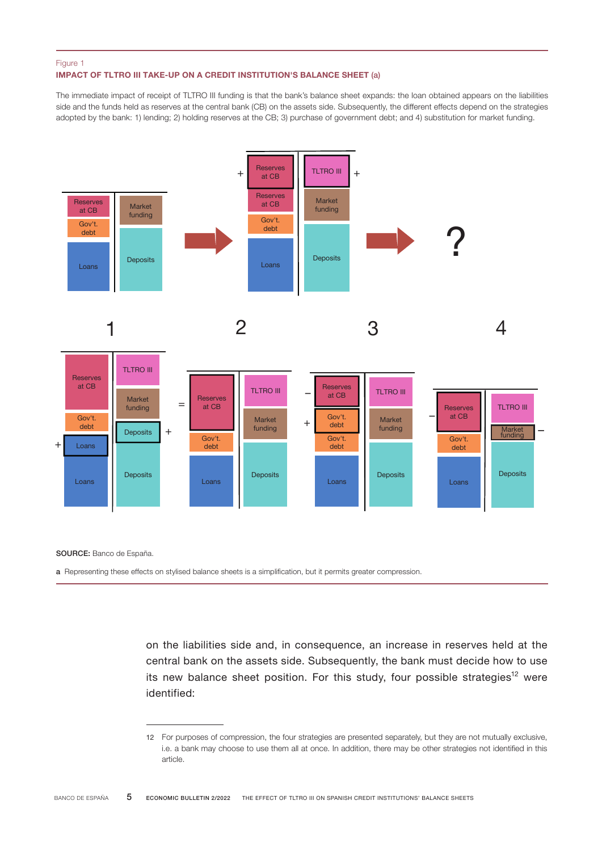#### IMPACT OF TLTRO III TAKE-UP ON A CREDIT INSTITUTION'S BALANCE SHEET (a) Figure 1

The immediate impact of receipt of TLTRO III funding is that the bank's balance sheet expands: the loan obtained appears on the liabilities side and the funds held as reserves at the central bank (CB) on the assets side. Subsequently, the different effects depend on the strategies adopted by the bank: 1) lending; 2) holding reserves at the CB; 3) purchase of government debt; and 4) substitution for market funding.



SOURCE: Banco de España.

a Representing these effects on stylised balance sheets is a simplification, but it permits greater compression.

on the liabilities side and, in consequence, an increase in reserves held at the central bank on the assets side. Subsequently, the bank must decide how to use its new balance sheet position. For this study, four possible strategies<sup>12</sup> were identified:

<sup>12</sup> For purposes of compression, the four strategies are presented separately, but they are not mutually exclusive, i.e. a bank may choose to use them all at once. In addition, there may be other strategies not identified in this article.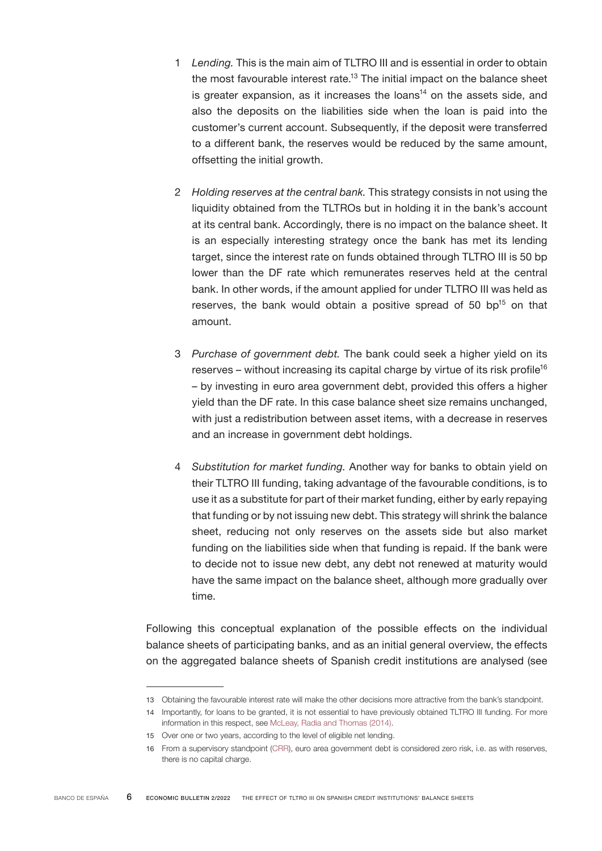- 1 *Lending.* This is the main aim of TLTRO III and is essential in order to obtain the most favourable interest rate.<sup>13</sup> The initial impact on the balance sheet is greater expansion, as it increases the  $\log_{10}$  on the assets side, and also the deposits on the liabilities side when the loan is paid into the customer's current account. Subsequently, if the deposit were transferred to a different bank, the reserves would be reduced by the same amount, offsetting the initial growth.
- 2 *Holding reserves at the central bank.* This strategy consists in not using the liquidity obtained from the TLTROs but in holding it in the bank's account at its central bank. Accordingly, there is no impact on the balance sheet. It is an especially interesting strategy once the bank has met its lending target, since the interest rate on funds obtained through TLTRO III is 50 bp lower than the DF rate which remunerates reserves held at the central bank. In other words, if the amount applied for under TLTRO III was held as reserves, the bank would obtain a positive spread of 50  $bp^{15}$  on that amount.
- 3 *Purchase of government debt.* The bank could seek a higher yield on its reserves – without increasing its capital charge by virtue of its risk profile<sup>16</sup> – by investing in euro area government debt, provided this offers a higher yield than the DF rate. In this case balance sheet size remains unchanged, with just a redistribution between asset items, with a decrease in reserves and an increase in government debt holdings.
- 4 *Substitution for market funding.* Another way for banks to obtain yield on their TLTRO III funding, taking advantage of the favourable conditions, is to use it as a substitute for part of their market funding, either by early repaying that funding or by not issuing new debt. This strategy will shrink the balance sheet, reducing not only reserves on the assets side but also market funding on the liabilities side when that funding is repaid. If the bank were to decide not to issue new debt, any debt not renewed at maturity would have the same impact on the balance sheet, although more gradually over time.

Following this conceptual explanation of the possible effects on the individual balance sheets of participating banks, and as an initial general overview, the effects on the aggregated balance sheets of Spanish credit institutions are analysed (see

<sup>13</sup> Obtaining the favourable interest rate will make the other decisions more attractive from the bank's standpoint.

<sup>14</sup> Importantly, for loans to be granted, it is not essential to have previously obtained TLTRO III funding. For more information in this respect, see [McLeay, Radia and Thomas \(2014\)](https://www.bankofengland.co.uk/-/media/boe/files/quarterly-bulletin/2014/money-creation-in-the-modern-economy.pdf?la=en&hash=9A8788FD44A62D8BB927123544205CE476E01654).

<sup>15</sup> Over one or two years, according to the level of eligible net lending.

<sup>16</sup> From a supervisory standpoint [\(CRR\)](https://www.eba.europa.eu/regulation-and-policy/single-rulebook/interactive-single-rulebook/504), euro area government debt is considered zero risk, i.e. as with reserves, there is no capital charge.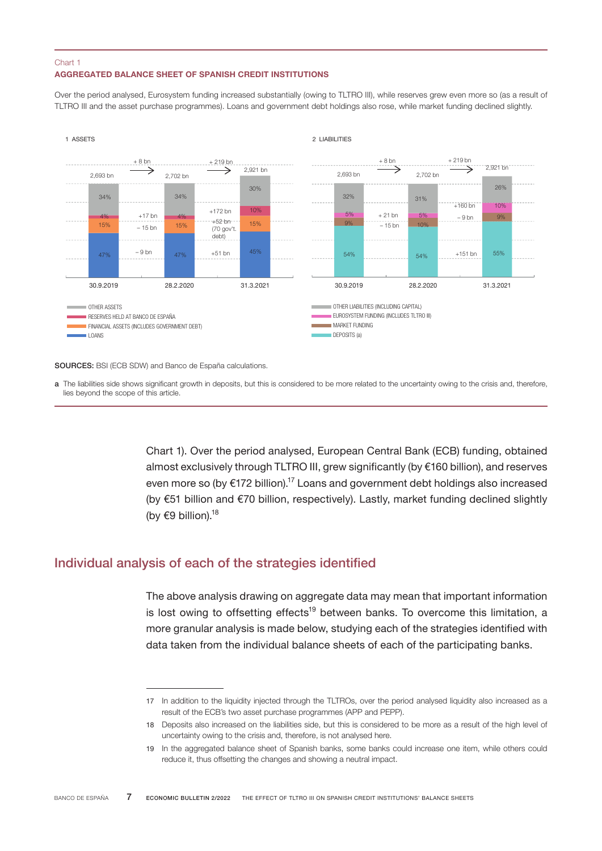## AGGREGATED BALANCE SHEET OF SPANISH CREDIT INSTITUTIONS Chart 1

Over the period analysed, Eurosystem funding increased substantially (owing to TLTRO III), while reserves grew even more so (as a result of TLTRO III and the asset purchase programmes). Loans and government debt holdings also rose, while market funding declined slightly.



SOURCES: BSI (ECB SDW) and Banco de España calculations.

a The liabilities side shows significant growth in deposits, but this is considered to be more related to the uncertainty owing to the crisis and, therefore, lies beyond the scope of this article.

> Chart 1). Over the period analysed, European Central Bank (ECB) funding, obtained almost exclusively through TLTRO III, grew significantly (by €160 billion), and reserves even more so (by €172 billion).<sup>17</sup> Loans and government debt holdings also increased (by €51 billion and €70 billion, respectively). Lastly, market funding declined slightly (by  $€9$  billion).<sup>18</sup>

# Individual analysis of each of the strategies identified

The above analysis drawing on aggregate data may mean that important information is lost owing to offsetting effects<sup>19</sup> between banks. To overcome this limitation, a more granular analysis is made below, studying each of the strategies identified with data taken from the individual balance sheets of each of the participating banks.

<sup>17</sup> In addition to the liquidity injected through the TLTROs, over the period analysed liquidity also increased as a result of the ECB's two asset purchase programmes (APP and PEPP).

<sup>18</sup> Deposits also increased on the liabilities side, but this is considered to be more as a result of the high level of uncertainty owing to the crisis and, therefore, is not analysed here.

<sup>19</sup> In the aggregated balance sheet of Spanish banks, some banks could increase one item, while others could reduce it, thus offsetting the changes and showing a neutral impact.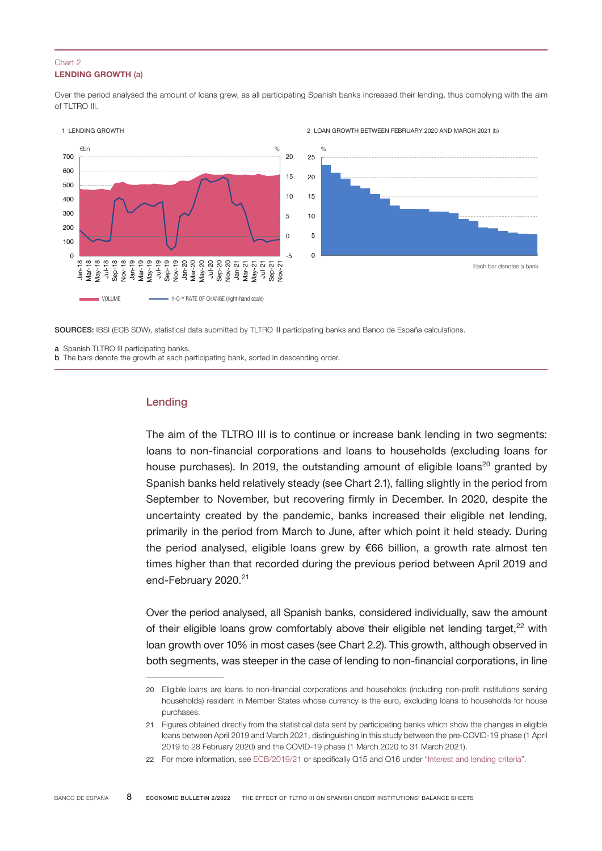## LENDING GROWTH (a) Chart 2

Over the period analysed the amount of loans grew, as all participating Spanish banks increased their lending, thus complying with the aim of TLTRO III.



SOURCES: IBSI (ECB SDW), statistical data submitted by TLTRO III participating banks and Banco de España calculations.

a Spanish TLTRO III participating banks.

**b** The bars denote the growth at each participating bank, sorted in descending order.

## Lending

The aim of the TLTRO III is to continue or increase bank lending in two segments: loans to non-financial corporations and loans to households (excluding loans for house purchases). In 2019, the outstanding amount of eligible loans<sup>20</sup> granted by Spanish banks held relatively steady (see Chart 2.1), falling slightly in the period from September to November, but recovering firmly in December. In 2020, despite the uncertainty created by the pandemic, banks increased their eligible net lending, primarily in the period from March to June, after which point it held steady. During the period analysed, eligible loans grew by €66 billion, a growth rate almost ten times higher than that recorded during the previous period between April 2019 and end-February 2020.<sup>21</sup>

Over the period analysed, all Spanish banks, considered individually, saw the amount of their eligible loans grow comfortably above their eligible net lending target, $2^2$  with loan growth over 10% in most cases (see Chart 2.2). This growth, although observed in both segments, was steeper in the case of lending to non-financial corporations, in line

<sup>20</sup> Eligible loans are loans to non-financial corporations and households (including non-profit institutions serving households) resident in Member States whose currency is the euro, excluding loans to households for house purchases.

<sup>21</sup> Figures obtained directly from the statistical data sent by participating banks which show the changes in eligible loans between April 2019 and March 2021, distinguishing in this study between the pre-COVID-19 phase (1 April 2019 to 28 February 2020) and the COVID‑19 phase (1 March 2020 to 31 March 2021).

<sup>22</sup> For more information, see [ECB/2019/21](https://eur-lex.europa.eu/legal-content/EN/TXT/PDF/?uri=CELEX:02019D0021(01)-20210508&qid=1598879694432&from=EN) or specifically Q15 and Q16 under ["Interest and lending criteria"](https://www.ecb.europa.eu/mopo/implement/omo/tltro/html/tltro-qa.en.html).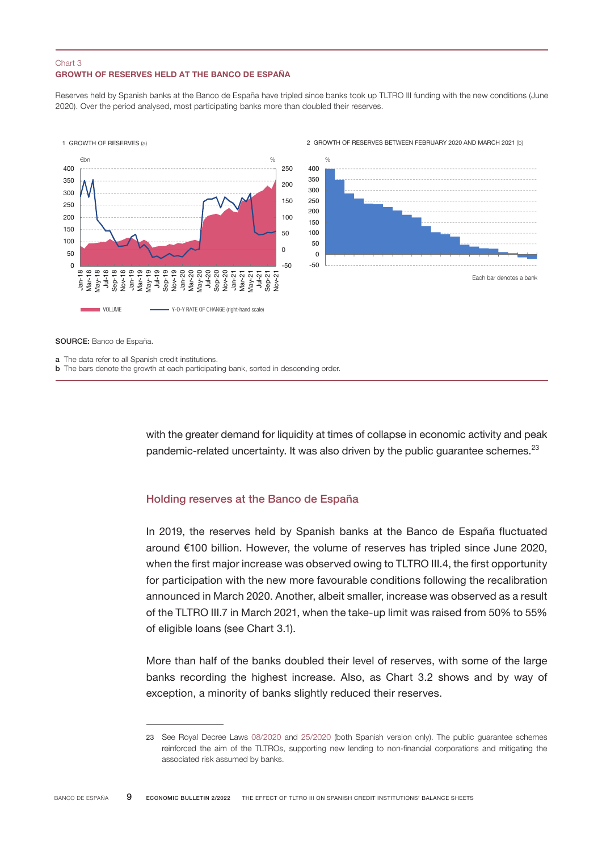## GROWTH OF RESERVES HELD AT THE BANCO DE ESPAÑA Chart 3

Reserves held by Spanish banks at the Banco de España have tripled since banks took up TLTRO III funding with the new conditions (June 2020). Over the period analysed, most participating banks more than doubled their reserves.



SOURCE: Banco de España.

a The data refer to all Spanish credit institutions.

**b** The bars denote the growth at each participating bank, sorted in descending order.

with the greater demand for liquidity at times of collapse in economic activity and peak pandemic-related uncertainty. It was also driven by the public guarantee schemes.<sup>23</sup>

### Holding reserves at the Banco de España

In 2019, the reserves held by Spanish banks at the Banco de España fluctuated around €100 billion. However, the volume of reserves has tripled since June 2020, when the first major increase was observed owing to TLTRO III.4, the first opportunity for participation with the new more favourable conditions following the recalibration announced in March 2020. Another, albeit smaller, increase was observed as a result of the TLTRO III.7 in March 2021, when the take-up limit was raised from 50% to 55% of eligible loans (see Chart 3.1).

More than half of the banks doubled their level of reserves, with some of the large banks recording the highest increase. Also, as Chart 3.2 shows and by way of exception, a minority of banks slightly reduced their reserves.

<sup>23</sup> See Royal Decree Laws [08/2020](https://www.boe.es/buscar/act.php?id=BOE-A-2020-3824) and [25/2020](https://www.boe.es/buscar/act.php?id=BOE-A-2020-7311) (both Spanish version only). The public guarantee schemes reinforced the aim of the TLTROs, supporting new lending to non-financial corporations and mitigating the associated risk assumed by banks.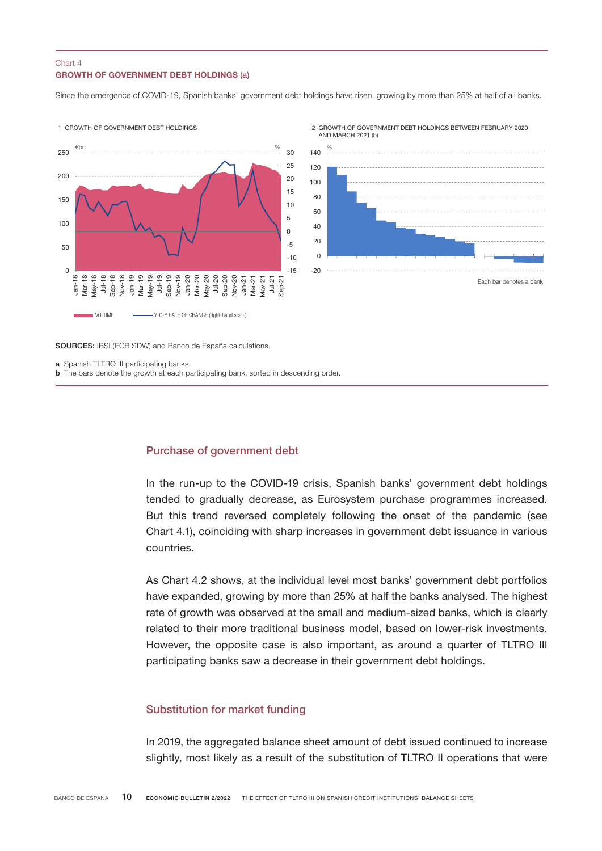## GROWTH OF GOVERNMENT DEBT HOLDINGS (a) Chart 4

Since the emergence of COVID-19, Spanish banks' government debt holdings have risen, growing by more than 25% at half of all banks.



SOURCES: IBSI (ECB SDW) and Banco de España calculations.

a Spanish TLTRO III participating banks.

**b** The bars denote the growth at each participating bank, sorted in descending order.

#### Purchase of government debt

In the run-up to the COVID-19 crisis, Spanish banks' government debt holdings tended to gradually decrease, as Eurosystem purchase programmes increased. But this trend reversed completely following the onset of the pandemic (see Chart 4.1), coinciding with sharp increases in government debt issuance in various countries.

As Chart 4.2 shows, at the individual level most banks' government debt portfolios have expanded, growing by more than 25% at half the banks analysed. The highest rate of growth was observed at the small and medium-sized banks, which is clearly related to their more traditional business model, based on lower-risk investments. However, the opposite case is also important, as around a quarter of TLTRO III participating banks saw a decrease in their government debt holdings.

## Substitution for market funding

In 2019, the aggregated balance sheet amount of debt issued continued to increase slightly, most likely as a result of the substitution of TLTRO II operations that were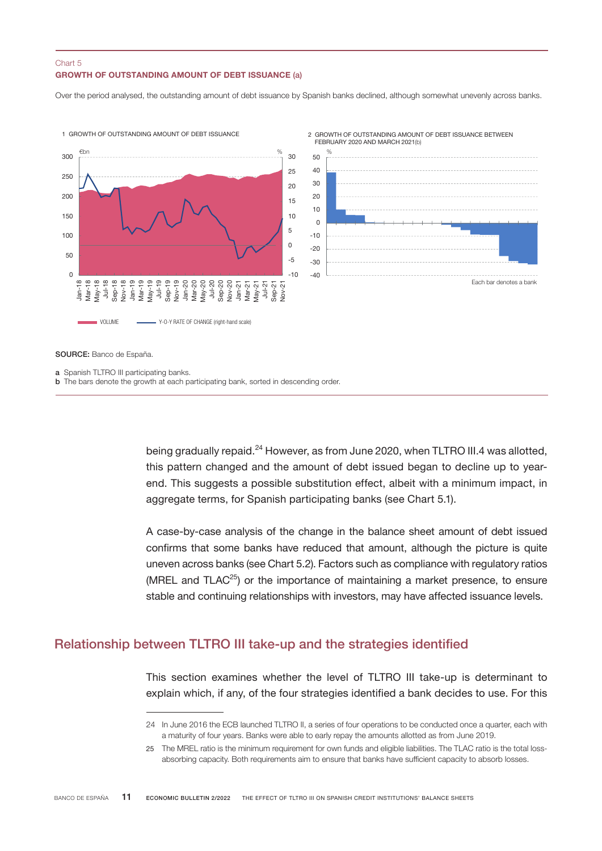## GROWTH OF OUTSTANDING AMOUNT OF DEBT ISSUANCE (a) Chart 5

Over the period analysed, the outstanding amount of debt issuance by Spanish banks declined, although somewhat unevenly across banks.



SOURCE: Banco de España.

a Spanish TLTRO III participating banks.

**b** The bars denote the growth at each participating bank, sorted in descending order.

being gradually repaid.<sup>24</sup> However, as from June 2020, when TLTRO III.4 was allotted, this pattern changed and the amount of debt issued began to decline up to yearend. This suggests a possible substitution effect, albeit with a minimum impact, in aggregate terms, for Spanish participating banks (see Chart 5.1).

A case-by-case analysis of the change in the balance sheet amount of debt issued confirms that some banks have reduced that amount, although the picture is quite uneven across banks (see Chart 5.2). Factors such as compliance with regulatory ratios (MREL and TLAC<sup>25</sup>) or the importance of maintaining a market presence, to ensure stable and continuing relationships with investors, may have affected issuance levels.

## Relationship between TLTRO III take-up and the strategies identified

This section examines whether the level of TLTRO III take-up is determinant to explain which, if any, of the four strategies identified a bank decides to use. For this

<sup>24</sup> In June 2016 the ECB launched TLTRO II, a series of four operations to be conducted once a quarter, each with a maturity of four years. Banks were able to early repay the amounts allotted as from June 2019.

<sup>25</sup> The MREL ratio is the minimum requirement for own funds and eligible liabilities. The TLAC ratio is the total lossabsorbing capacity. Both requirements aim to ensure that banks have sufficient capacity to absorb losses.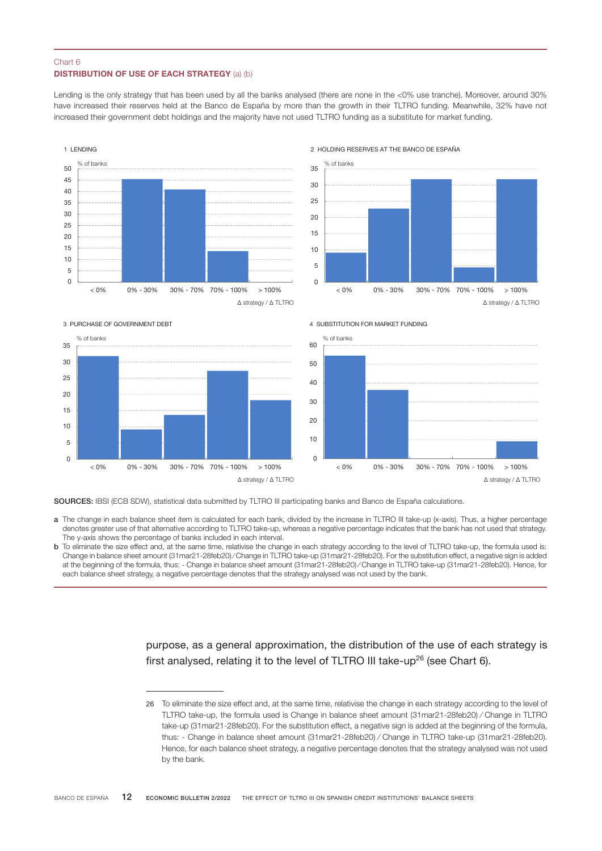### DISTRIBUTION OF USE OF EACH STRATEGY (a) (b) Chart 6

Lending is the only strategy that has been used by all the banks analysed (there are none in the <0% use tranche). Moreover, around 30% have increased their reserves held at the Banco de España by more than the growth in their TLTRO funding. Meanwhile, 32% have not increased their government debt holdings and the majority have not used TLTRO funding as a substitute for market funding.









4 SUBSTITUTION FOR MARKET FUNDING



SOURCES: IBSI (ECB SDW), statistical data submitted by TLTRO III participating banks and Banco de España calculations.

- a The change in each balance sheet item is calculated for each bank, divided by the increase in TLTRO III take-up (x-axis). Thus, a higher percentage denotes greater use of that alternative according to TLTRO take-up, whereas a negative percentage indicates that the bank has not used that strategy. The y-axis shows the percentage of banks included in each interval.
- b To eliminate the size effect and, at the same time, relativise the change in each strategy according to the level of TLTRO take-up, the formula used is: Change in balance sheet amount (31mar21-28feb20) ⁄ Change in TLTRO take-up (31mar21-28feb20). For the substitution effect, a negative sign is added at the beginning of the formula, thus: - Change in balance sheet amount (31mar21-28feb20) ⁄ Change in TLTRO take-up (31mar21-28feb20). Hence, for each balance sheet strategy, a negative percentage denotes that the strategy analysed was not used by the bank.

purpose, as a general approximation, the distribution of the use of each strategy is first analysed, relating it to the level of TLTRO III take-up<sup>26</sup> (see Chart 6).

<sup>26</sup> To eliminate the size effect and, at the same time, relativise the change in each strategy according to the level of TLTRO take-up, the formula used is Change in balance sheet amount (31mar21-28feb20) ⁄ Change in TLTRO take-up (31mar21-28feb20). For the substitution effect, a negative sign is added at the beginning of the formula, thus: - Change in balance sheet amount (31mar21-28feb20) ⁄ Change in TLTRO take-up (31mar21-28feb20). Hence, for each balance sheet strategy, a negative percentage denotes that the strategy analysed was not used by the bank.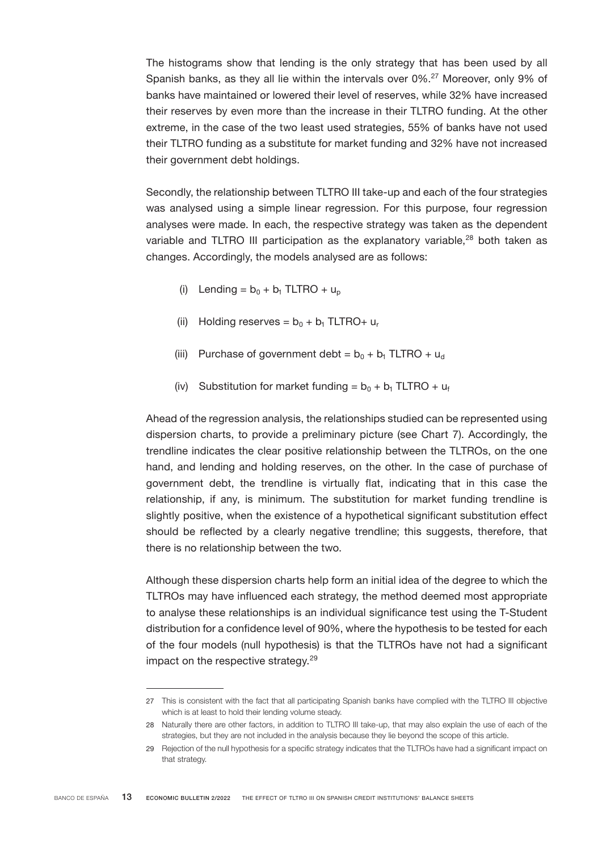The histograms show that lending is the only strategy that has been used by all Spanish banks, as they all lie within the intervals over 0%.<sup>27</sup> Moreover, only 9% of banks have maintained or lowered their level of reserves, while 32% have increased their reserves by even more than the increase in their TLTRO funding. At the other extreme, in the case of the two least used strategies, 55% of banks have not used their TLTRO funding as a substitute for market funding and 32% have not increased their government debt holdings.

Secondly, the relationship between TLTRO III take-up and each of the four strategies was analysed using a simple linear regression. For this purpose, four regression analyses were made. In each, the respective strategy was taken as the dependent variable and TLTRO III participation as the explanatory variable.<sup>28</sup> both taken as changes. Accordingly, the models analysed are as follows:

- (i) Lending =  $b_0 + b_1$  TLTRO +  $u_p$
- (ii) Holding reserves =  $b_0 + b_1$  TLTRO+ u<sub>r</sub>
- (iii) Purchase of government debt =  $b_0 + b_1$  TLTRO + u<sub>d</sub>
- (iv) Substitution for market funding =  $b_0 + b_1$  TLTRO +  $u_f$

Ahead of the regression analysis, the relationships studied can be represented using dispersion charts, to provide a preliminary picture (see Chart 7). Accordingly, the trendline indicates the clear positive relationship between the TLTROs, on the one hand, and lending and holding reserves, on the other. In the case of purchase of government debt, the trendline is virtually flat, indicating that in this case the relationship, if any, is minimum. The substitution for market funding trendline is slightly positive, when the existence of a hypothetical significant substitution effect should be reflected by a clearly negative trendline; this suggests, therefore, that there is no relationship between the two.

Although these dispersion charts help form an initial idea of the degree to which the TLTROs may have influenced each strategy, the method deemed most appropriate to analyse these relationships is an individual significance test using the T-Student distribution for a confidence level of 90%, where the hypothesis to be tested for each of the four models (null hypothesis) is that the TLTROs have not had a significant impact on the respective strategy.<sup>29</sup>

<sup>27</sup> This is consistent with the fact that all participating Spanish banks have complied with the TLTRO III objective which is at least to hold their lending volume steady.

<sup>28</sup> Naturally there are other factors, in addition to TLTRO III take-up, that may also explain the use of each of the strategies, but they are not included in the analysis because they lie beyond the scope of this article.

<sup>29</sup> Rejection of the null hypothesis for a specific strategy indicates that the TLTROs have had a significant impact on that strategy.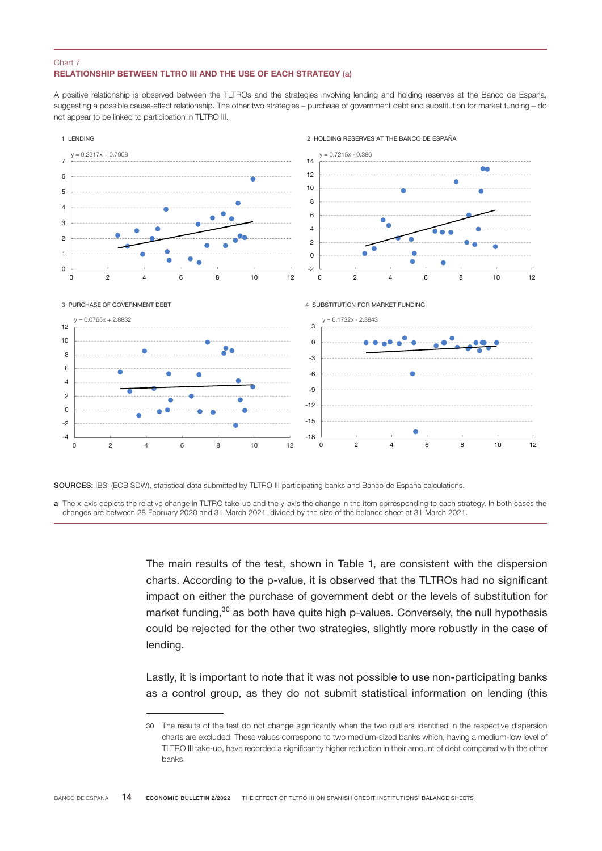#### RELATIONSHIP BETWEEN TLTRO III AND THE USE OF EACH STRATEGY (a) Chart 7

A positive relationship is observed between the TLTROs and the strategies involving lending and holding reserves at the Banco de España, suggesting a possible cause-effect relationship. The other two strategies – purchase of government debt and substitution for market funding – do not appear to be linked to participation in TLTRO III.



SOURCES: IBSI (ECB SDW), statistical data submitted by TLTRO III participating banks and Banco de España calculations.

a The x-axis depicts the relative change in TLTRO take-up and the y-axis the change in the item corresponding to each strategy. In both cases the changes are between 28 February 2020 and 31 March 2021, divided by the size of the balance sheet at 31 March 2021.

> The main results of the test, shown in Table 1, are consistent with the dispersion charts. According to the p-value, it is observed that the TLTROs had no significant impact on either the purchase of government debt or the levels of substitution for market funding, $30$  as both have quite high p-values. Conversely, the null hypothesis could be rejected for the other two strategies, slightly more robustly in the case of lending.

> Lastly, it is important to note that it was not possible to use non-participating banks as a control group, as they do not submit statistical information on lending (this

<sup>30</sup> The results of the test do not change significantly when the two outliers identified in the respective dispersion charts are excluded. These values correspond to two medium-sized banks which, having a medium-low level of TLTRO III take-up, have recorded a significantly higher reduction in their amount of debt compared with the other banks.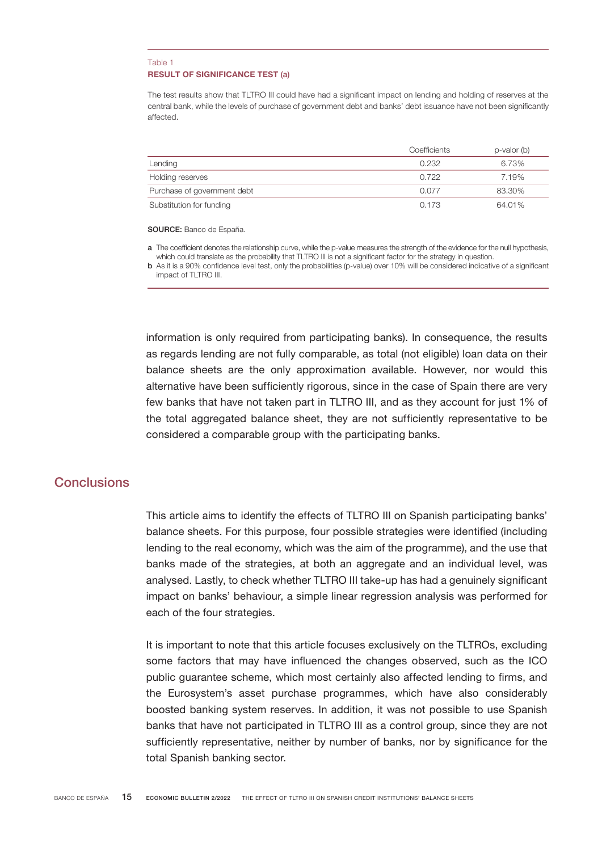#### RESULT OF SIGNIFICANCE TEST (a) Table 1

The test results show that TLTRO III could have had a significant impact on lending and holding of reserves at the central bank, while the levels of purchase of government debt and banks' debt issuance have not been significantly affected.

|                             | Coefficients | $p$ -valor (b) |
|-----------------------------|--------------|----------------|
| Lending                     | 0.232        | 6.73%          |
| Holding reserves            | 0.722        | 7.19%          |
| Purchase of government debt | 0.077        | 83.30%         |
| Substitution for funding    | 0.173        | 64.01%         |

SOURCE: Banco de España.

a The coefficient denotes the relationship curve, while the p-value measures the strength of the evidence for the null hypothesis, which could translate as the probability that TLTRO III is not a significant factor for the strategy in question.

b As it is a 90% confidence level test, only the probabilities (p-value) over 10% will be considered indicative of a significant impact of TLTRO III.

information is only required from participating banks). In consequence, the results as regards lending are not fully comparable, as total (not eligible) loan data on their balance sheets are the only approximation available. However, nor would this alternative have been sufficiently rigorous, since in the case of Spain there are very few banks that have not taken part in TLTRO III, and as they account for just 1% of the total aggregated balance sheet, they are not sufficiently representative to be considered a comparable group with the participating banks.

# Conclusions

This article aims to identify the effects of TLTRO III on Spanish participating banks' balance sheets. For this purpose, four possible strategies were identified (including lending to the real economy, which was the aim of the programme), and the use that banks made of the strategies, at both an aggregate and an individual level, was analysed. Lastly, to check whether TLTRO III take-up has had a genuinely significant impact on banks' behaviour, a simple linear regression analysis was performed for each of the four strategies.

It is important to note that this article focuses exclusively on the TLTROs, excluding some factors that may have influenced the changes observed, such as the ICO public guarantee scheme, which most certainly also affected lending to firms, and the Eurosystem's asset purchase programmes, which have also considerably boosted banking system reserves. In addition, it was not possible to use Spanish banks that have not participated in TLTRO III as a control group, since they are not sufficiently representative, neither by number of banks, nor by significance for the total Spanish banking sector.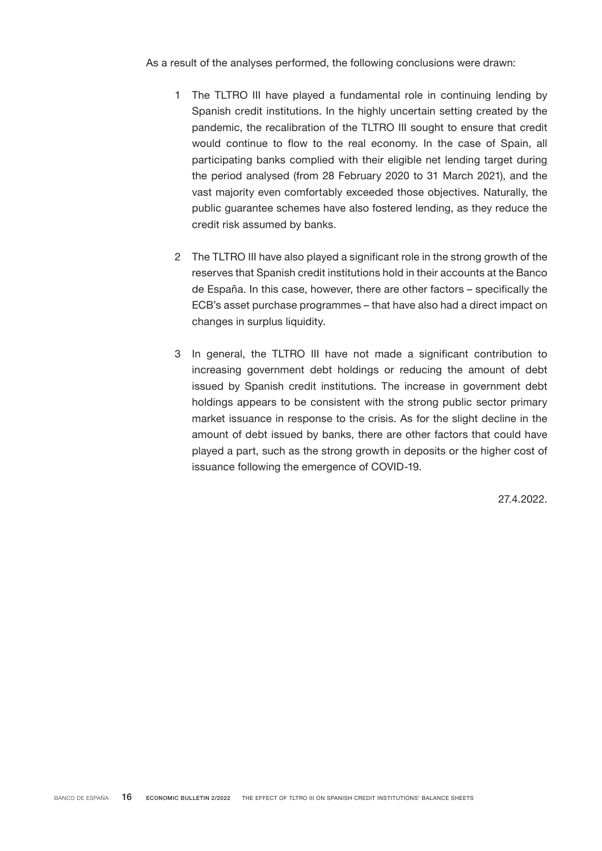As a result of the analyses performed, the following conclusions were drawn:

- 1 The TLTRO III have played a fundamental role in continuing lending by Spanish credit institutions. In the highly uncertain setting created by the pandemic, the recalibration of the TLTRO III sought to ensure that credit would continue to flow to the real economy. In the case of Spain, all participating banks complied with their eligible net lending target during the period analysed (from 28 February 2020 to 31 March 2021), and the vast majority even comfortably exceeded those objectives. Naturally, the public guarantee schemes have also fostered lending, as they reduce the credit risk assumed by banks.
- 2 The TLTRO III have also played a significant role in the strong growth of the reserves that Spanish credit institutions hold in their accounts at the Banco de España. In this case, however, there are other factors – specifically the ECB's asset purchase programmes – that have also had a direct impact on changes in surplus liquidity.
- 3 In general, the TLTRO III have not made a significant contribution to increasing government debt holdings or reducing the amount of debt issued by Spanish credit institutions. The increase in government debt holdings appears to be consistent with the strong public sector primary market issuance in response to the crisis. As for the slight decline in the amount of debt issued by banks, there are other factors that could have played a part, such as the strong growth in deposits or the higher cost of issuance following the emergence of COVID-19.

27.4.2022.